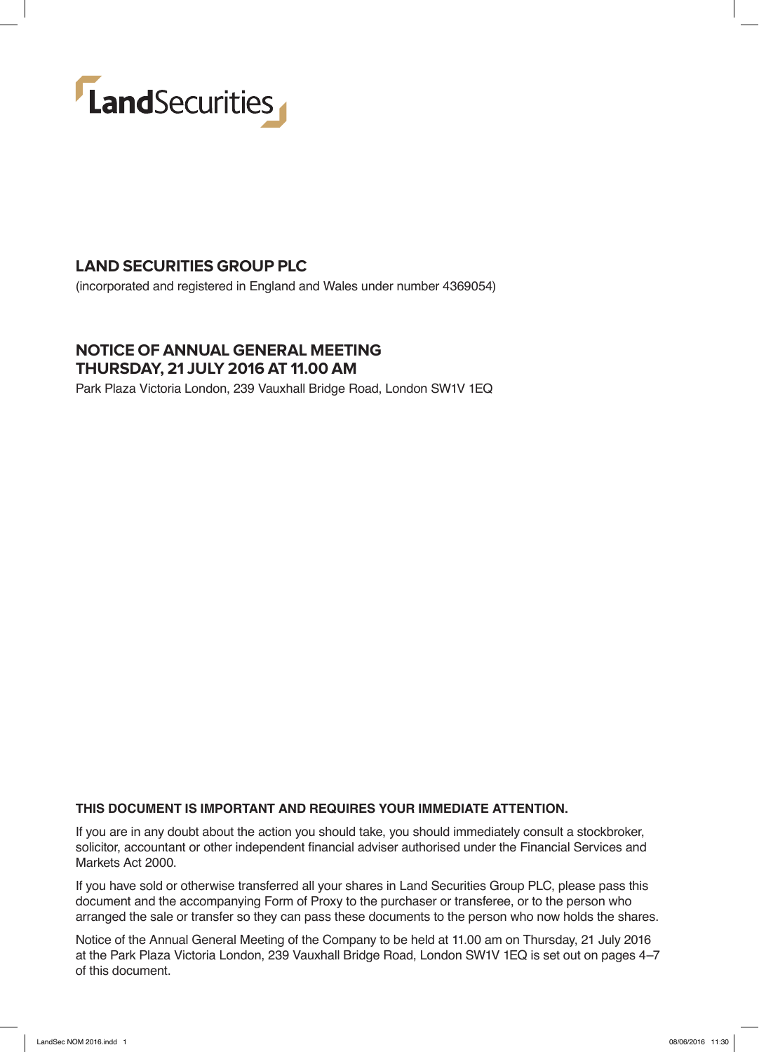

# **LAND SECURITIES GROUP PLC**

(incorporated and registered in England and Wales under number 4369054)

# **NOTICE OF ANNUAL GENERAL MEETING THURSDAY, 21 JULY 2016 AT 11.00 AM**

Park Plaza Victoria London, 239 Vauxhall Bridge Road, London SW1V 1EQ

# **THIS DOCUMENT IS IMPORTANT AND REQUIRES YOUR IMMEDIATE ATTENTION.**

If you are in any doubt about the action you should take, you should immediately consult a stockbroker, solicitor, accountant or other independent financial adviser authorised under the Financial Services and Markets Act 2000.

If you have sold or otherwise transferred all your shares in Land Securities Group PLC, please pass this document and the accompanying Form of Proxy to the purchaser or transferee, or to the person who arranged the sale or transfer so they can pass these documents to the person who now holds the shares.

Notice of the Annual General Meeting of the Company to be held at 11.00 am on Thursday, 21 July 2016 at the Park Plaza Victoria London, 239 Vauxhall Bridge Road, London SW1V 1EQ is set out on pages 4–7 of this document.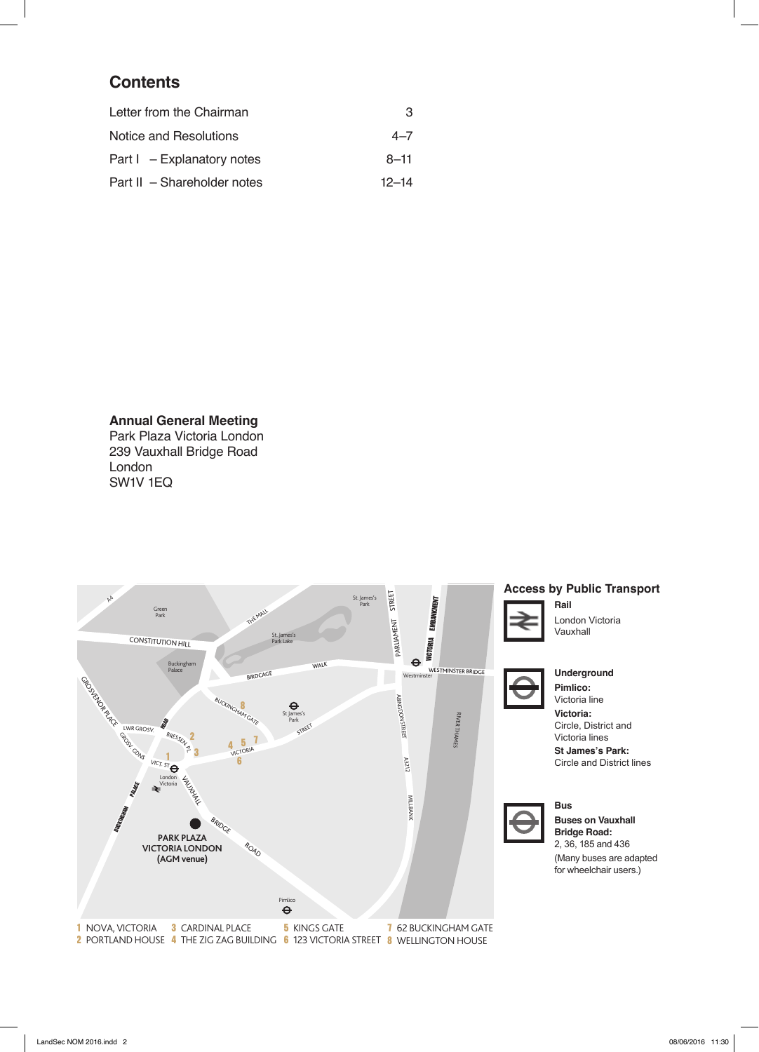# **Contents**

| Letter from the Chairman     | 3         |
|------------------------------|-----------|
| Notice and Resolutions       | $4 - 7$   |
| Part $I -$ Explanatory notes | $8 - 11$  |
| Part II - Shareholder notes  | $12 - 14$ |

**Annual General Meeting** Park Plaza Victoria London 239 Vauxhall Bridge Road London SW1V 1EQ

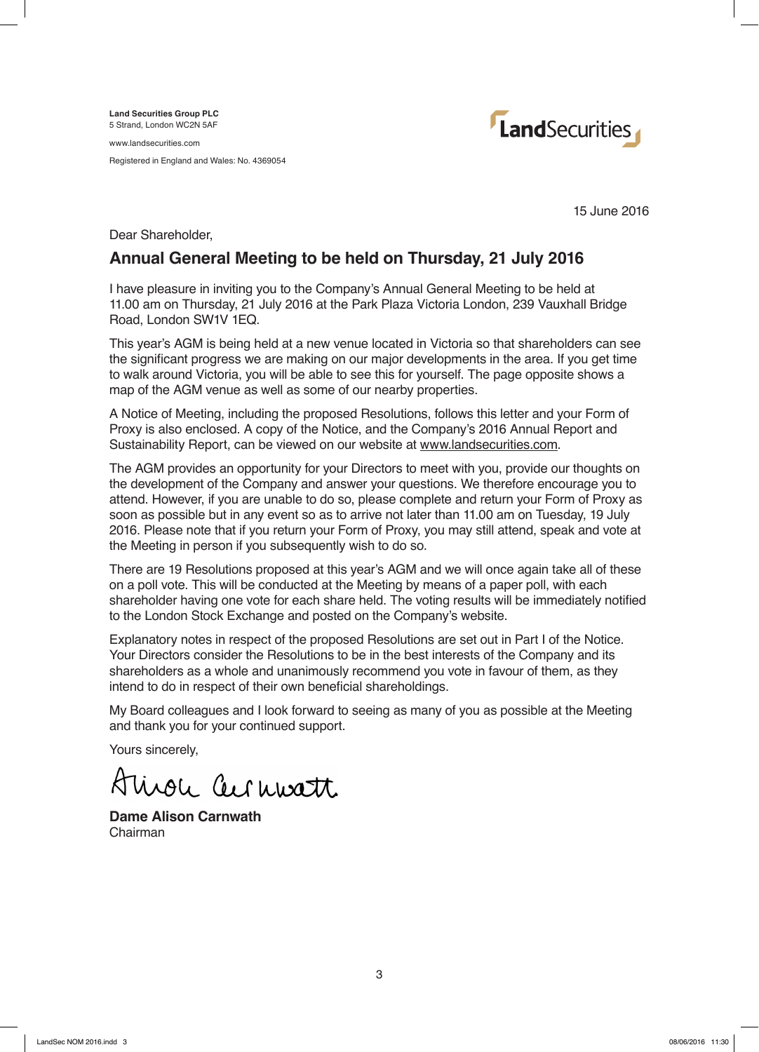**Land Securities Group PLC** 5 Strand, London WC2N 5AF

www.landsecurities.com

Registered in England and Wales: No. 4369054



15 June 2016

Dear Shareholder,

# **Annual General Meeting to be held on Thursday, 21 July 2016**

I have pleasure in inviting you to the Company's Annual General Meeting to be held at 11.00 am on Thursday, 21 July 2016 at the Park Plaza Victoria London, 239 Vauxhall Bridge Road, London SW1V 1EQ.

This year's AGM is being held at a new venue located in Victoria so that shareholders can see the significant progress we are making on our major developments in the area. If you get time to walk around Victoria, you will be able to see this for yourself. The page opposite shows a map of the AGM venue as well as some of our nearby properties.

A Notice of Meeting, including the proposed Resolutions, follows this letter and your Form of Proxy is also enclosed. A copy of the Notice, and the Company's 2016 Annual Report and Sustainability Report, can be viewed on our website at www.landsecurities.com.

The AGM provides an opportunity for your Directors to meet with you, provide our thoughts on the development of the Company and answer your questions. We therefore encourage you to attend. However, if you are unable to do so, please complete and return your Form of Proxy as soon as possible but in any event so as to arrive not later than 11.00 am on Tuesday, 19 July 2016. Please note that if you return your Form of Proxy, you may still attend, speak and vote at the Meeting in person if you subsequently wish to do so.

There are 19 Resolutions proposed at this year's AGM and we will once again take all of these on a poll vote. This will be conducted at the Meeting by means of a paper poll, with each shareholder having one vote for each share held. The voting results will be immediately notified to the London Stock Exchange and posted on the Company's website.

Explanatory notes in respect of the proposed Resolutions are set out in Part I of the Notice. Your Directors consider the Resolutions to be in the best interests of the Company and its shareholders as a whole and unanimously recommend you vote in favour of them, as they intend to do in respect of their own beneficial shareholdings.

My Board colleagues and I look forward to seeing as many of you as possible at the Meeting and thank you for your continued support.

Yours sincerely,

Tiron air mwatt

**Dame Alison Carnwath** Chairman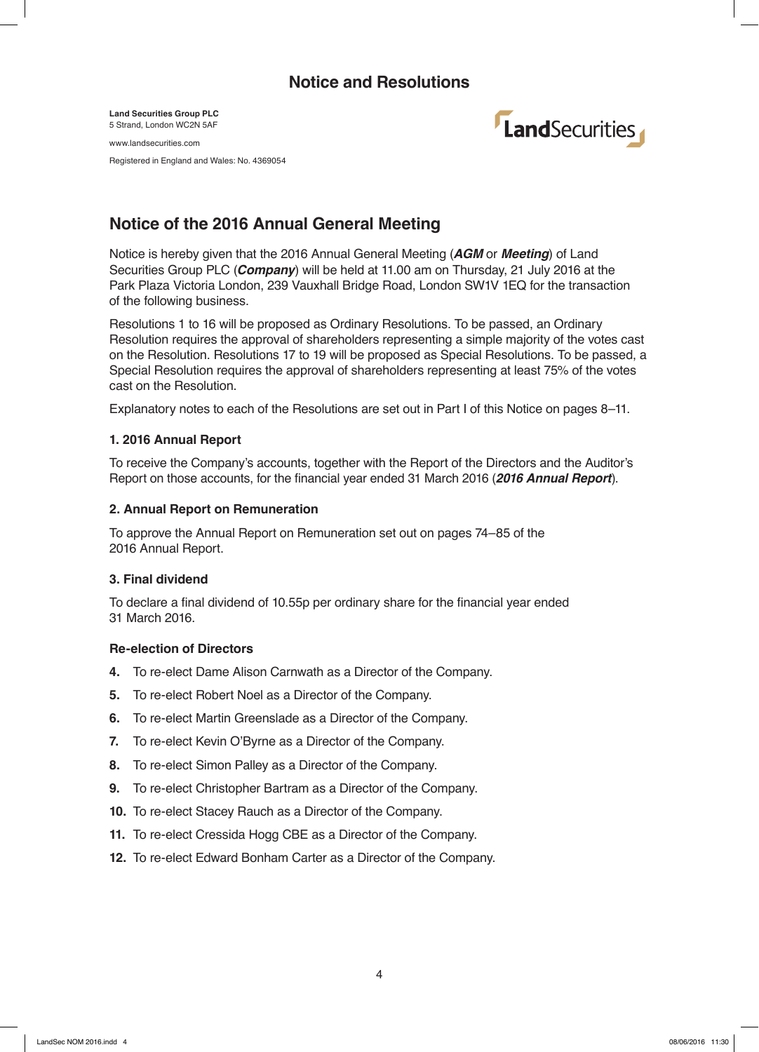**Land Securities Group PLC** 5 Strand, London WC2N 5AF

www.landsecurities.com

Registered in England and Wales: No. 4369054



# **Notice of the 2016 Annual General Meeting**

Notice is hereby given that the 2016 Annual General Meeting (*AGM* or *Meeting*) of Land Securities Group PLC (*Company*) will be held at 11.00 am on Thursday, 21 July 2016 at the Park Plaza Victoria London, 239 Vauxhall Bridge Road, London SW1V 1EQ for the transaction of the following business.

Resolutions 1 to 16 will be proposed as Ordinary Resolutions. To be passed, an Ordinary Resolution requires the approval of shareholders representing a simple majority of the votes cast on the Resolution. Resolutions 17 to 19 will be proposed as Special Resolutions. To be passed, a Special Resolution requires the approval of shareholders representing at least 75% of the votes cast on the Resolution.

Explanatory notes to each of the Resolutions are set out in Part I of this Notice on pages 8–11.

#### **1. 2016 Annual Report**

To receive the Company's accounts, together with the Report of the Directors and the Auditor's Report on those accounts, for the financial year ended 31 March 2016 (*2016 Annual Report*).

#### **2. Annual Report on Remuneration**

To approve the Annual Report on Remuneration set out on pages 74–85 of the 2016 Annual Report.

#### **3. Final dividend**

To declare a final dividend of 10.55p per ordinary share for the financial year ended 31 March 2016.

#### **Re-election of Directors**

- **4.** To re-elect Dame Alison Carnwath as a Director of the Company.
- **5.** To re-elect Robert Noel as a Director of the Company.
- **6.** To re-elect Martin Greenslade as a Director of the Company.
- **7.** To re-elect Kevin O'Byrne as a Director of the Company.
- **8.** To re-elect Simon Palley as a Director of the Company.
- **9.** To re-elect Christopher Bartram as a Director of the Company.
- **10.** To re-elect Stacey Rauch as a Director of the Company.
- **11.** To re-elect Cressida Hogg CBE as a Director of the Company.
- **12.** To re-elect Edward Bonham Carter as a Director of the Company.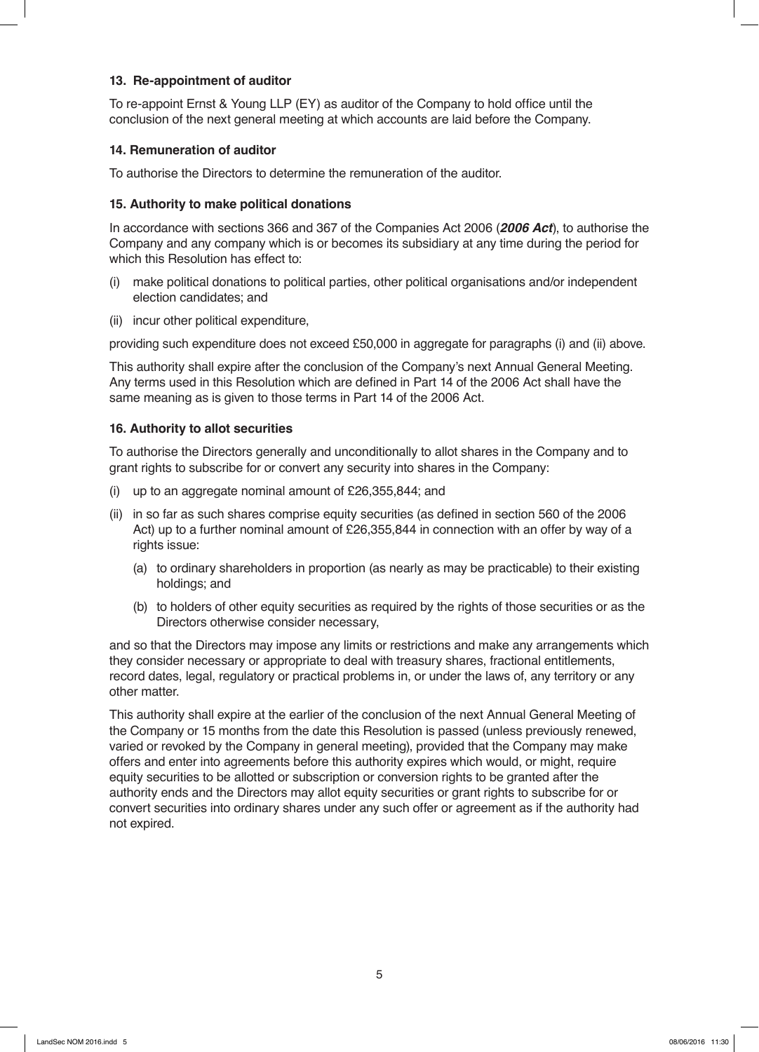#### **13. Re-appointment of auditor**

To re-appoint Ernst & Young LLP (EY) as auditor of the Company to hold office until the conclusion of the next general meeting at which accounts are laid before the Company.

#### **14. Remuneration of auditor**

To authorise the Directors to determine the remuneration of the auditor.

#### **15. Authority to make political donations**

In accordance with sections 366 and 367 of the Companies Act 2006 (*2006 Act*), to authorise the Company and any company which is or becomes its subsidiary at any time during the period for which this Resolution has effect to:

- (i) make political donations to political parties, other political organisations and/or independent election candidates; and
- (ii) incur other political expenditure,

providing such expenditure does not exceed £50,000 in aggregate for paragraphs (i) and (ii) above.

This authority shall expire after the conclusion of the Company's next Annual General Meeting. Any terms used in this Resolution which are defined in Part 14 of the 2006 Act shall have the same meaning as is given to those terms in Part 14 of the 2006 Act.

### **16. Authority to allot securities**

To authorise the Directors generally and unconditionally to allot shares in the Company and to grant rights to subscribe for or convert any security into shares in the Company:

- (i) up to an aggregate nominal amount of £26,355,844; and
- (ii) in so far as such shares comprise equity securities (as defined in section 560 of the 2006 Act) up to a further nominal amount of £26,355,844 in connection with an offer by way of a rights issue:
	- (a) to ordinary shareholders in proportion (as nearly as may be practicable) to their existing holdings; and
	- (b) to holders of other equity securities as required by the rights of those securities or as the Directors otherwise consider necessary,

and so that the Directors may impose any limits or restrictions and make any arrangements which they consider necessary or appropriate to deal with treasury shares, fractional entitlements, record dates, legal, regulatory or practical problems in, or under the laws of, any territory or any other matter.

This authority shall expire at the earlier of the conclusion of the next Annual General Meeting of the Company or 15 months from the date this Resolution is passed (unless previously renewed, varied or revoked by the Company in general meeting), provided that the Company may make offers and enter into agreements before this authority expires which would, or might, require equity securities to be allotted or subscription or conversion rights to be granted after the authority ends and the Directors may allot equity securities or grant rights to subscribe for or convert securities into ordinary shares under any such offer or agreement as if the authority had not expired.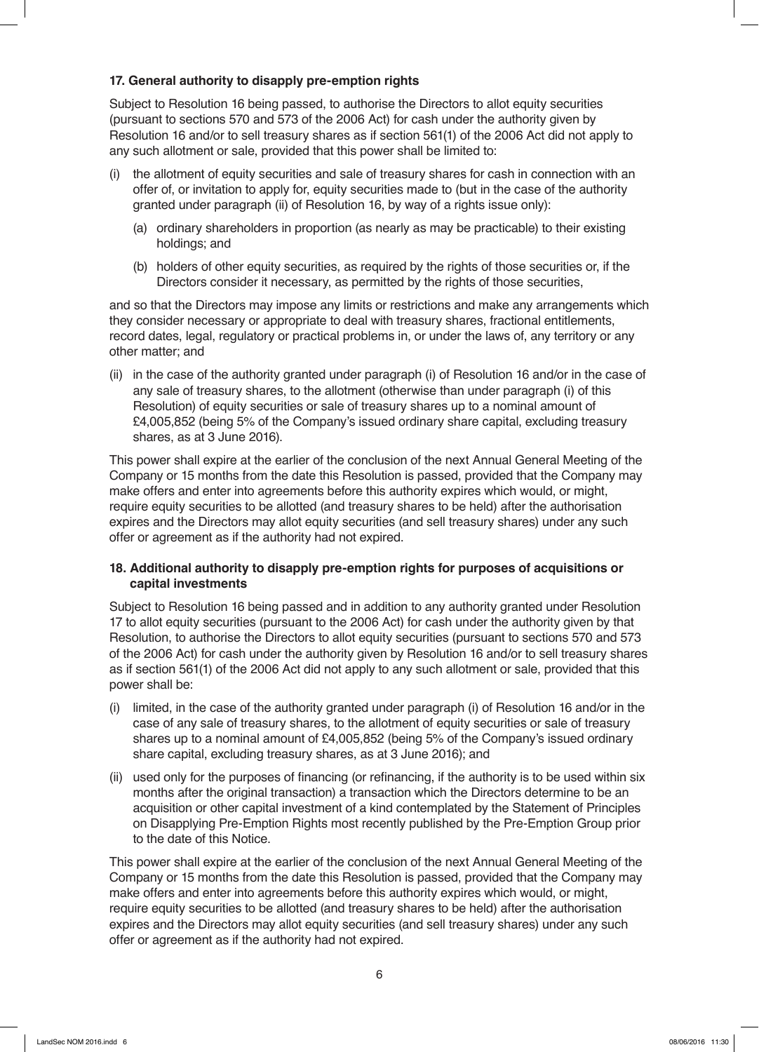## **17. General authority to disapply pre-emption rights**

Subject to Resolution 16 being passed, to authorise the Directors to allot equity securities (pursuant to sections 570 and 573 of the 2006 Act) for cash under the authority given by Resolution 16 and/or to sell treasury shares as if section 561(1) of the 2006 Act did not apply to any such allotment or sale, provided that this power shall be limited to:

- (i) the allotment of equity securities and sale of treasury shares for cash in connection with an offer of, or invitation to apply for, equity securities made to (but in the case of the authority granted under paragraph (ii) of Resolution 16, by way of a rights issue only):
	- (a) ordinary shareholders in proportion (as nearly as may be practicable) to their existing holdings; and
	- (b) holders of other equity securities, as required by the rights of those securities or, if the Directors consider it necessary, as permitted by the rights of those securities,

and so that the Directors may impose any limits or restrictions and make any arrangements which they consider necessary or appropriate to deal with treasury shares, fractional entitlements, record dates, legal, regulatory or practical problems in, or under the laws of, any territory or any other matter; and

(ii) in the case of the authority granted under paragraph (i) of Resolution 16 and/or in the case of any sale of treasury shares, to the allotment (otherwise than under paragraph (i) of this Resolution) of equity securities or sale of treasury shares up to a nominal amount of £4,005,852 (being 5% of the Company's issued ordinary share capital, excluding treasury shares, as at 3 June 2016).

This power shall expire at the earlier of the conclusion of the next Annual General Meeting of the Company or 15 months from the date this Resolution is passed, provided that the Company may make offers and enter into agreements before this authority expires which would, or might, require equity securities to be allotted (and treasury shares to be held) after the authorisation expires and the Directors may allot equity securities (and sell treasury shares) under any such offer or agreement as if the authority had not expired.

### **18. Additional authority to disapply pre-emption rights for purposes of acquisitions or capital investments**

Subject to Resolution 16 being passed and in addition to any authority granted under Resolution 17 to allot equity securities (pursuant to the 2006 Act) for cash under the authority given by that Resolution, to authorise the Directors to allot equity securities (pursuant to sections 570 and 573 of the 2006 Act) for cash under the authority given by Resolution 16 and/or to sell treasury shares as if section 561(1) of the 2006 Act did not apply to any such allotment or sale, provided that this power shall be:

- (i) limited, in the case of the authority granted under paragraph (i) of Resolution 16 and/or in the case of any sale of treasury shares, to the allotment of equity securities or sale of treasury shares up to a nominal amount of £4,005,852 (being 5% of the Company's issued ordinary share capital, excluding treasury shares, as at 3 June 2016); and
- (ii) used only for the purposes of financing (or refinancing, if the authority is to be used within six months after the original transaction) a transaction which the Directors determine to be an acquisition or other capital investment of a kind contemplated by the Statement of Principles on Disapplying Pre-Emption Rights most recently published by the Pre-Emption Group prior to the date of this Notice.

This power shall expire at the earlier of the conclusion of the next Annual General Meeting of the Company or 15 months from the date this Resolution is passed, provided that the Company may make offers and enter into agreements before this authority expires which would, or might, require equity securities to be allotted (and treasury shares to be held) after the authorisation expires and the Directors may allot equity securities (and sell treasury shares) under any such offer or agreement as if the authority had not expired.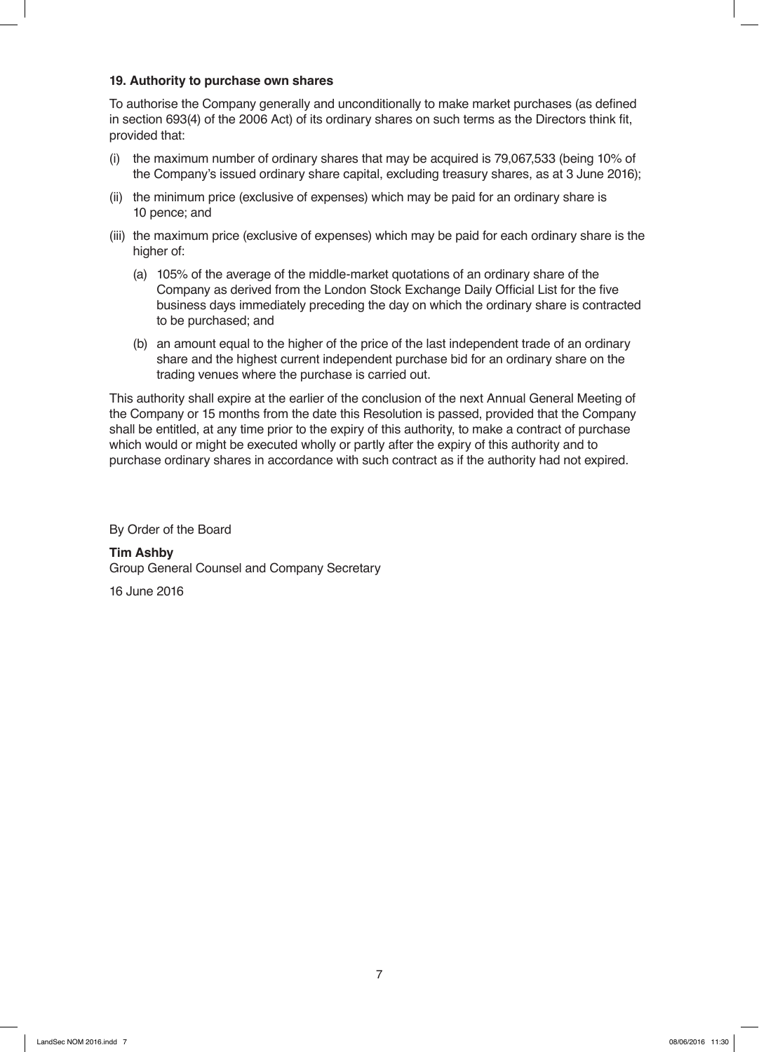#### **19. Authority to purchase own shares**

To authorise the Company generally and unconditionally to make market purchases (as defined in section 693(4) of the 2006 Act) of its ordinary shares on such terms as the Directors think fit, provided that:

- (i) the maximum number of ordinary shares that may be acquired is 79,067,533 (being 10% of the Company's issued ordinary share capital, excluding treasury shares, as at 3 June 2016);
- (ii) the minimum price (exclusive of expenses) which may be paid for an ordinary share is 10 pence; and
- (iii) the maximum price (exclusive of expenses) which may be paid for each ordinary share is the higher of:
	- (a) 105% of the average of the middle-market quotations of an ordinary share of the Company as derived from the London Stock Exchange Daily Official List for the five business days immediately preceding the day on which the ordinary share is contracted to be purchased; and
	- (b) an amount equal to the higher of the price of the last independent trade of an ordinary share and the highest current independent purchase bid for an ordinary share on the trading venues where the purchase is carried out.

This authority shall expire at the earlier of the conclusion of the next Annual General Meeting of the Company or 15 months from the date this Resolution is passed, provided that the Company shall be entitled, at any time prior to the expiry of this authority, to make a contract of purchase which would or might be executed wholly or partly after the expiry of this authority and to purchase ordinary shares in accordance with such contract as if the authority had not expired.

By Order of the Board

**Tim Ashby** Group General Counsel and Company Secretary

16 June 2016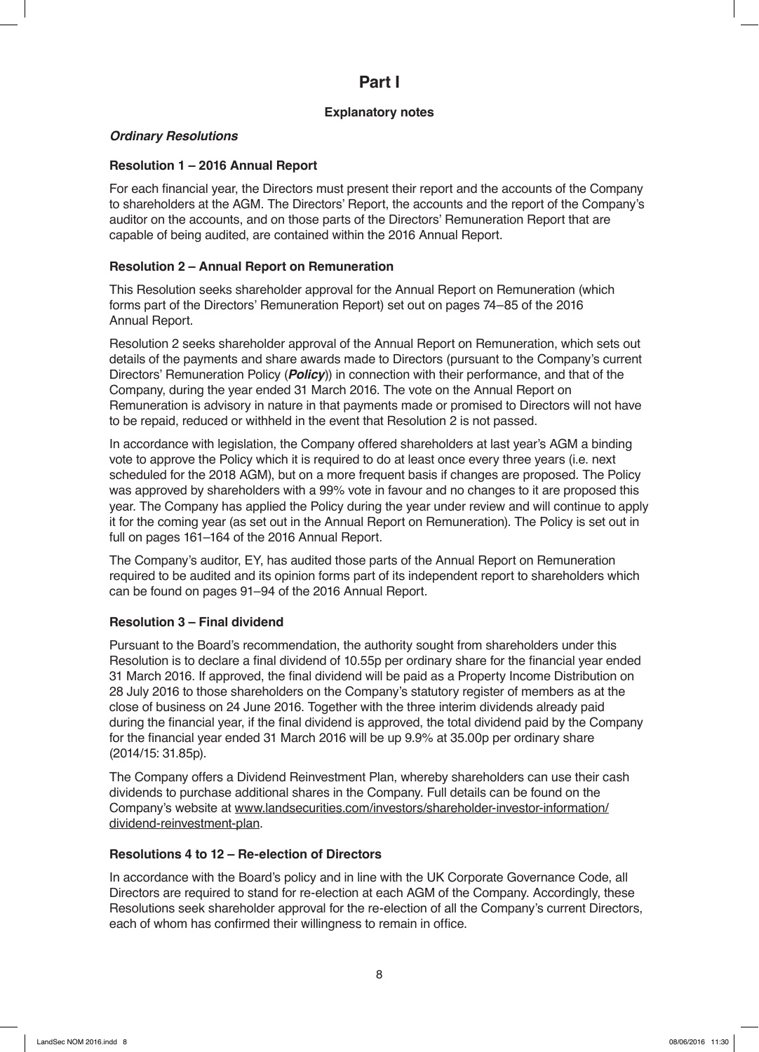# **Part I**

## **Explanatory notes**

## *Ordinary Resolutions*

## **Resolution 1 – 2016 Annual Report**

For each financial year, the Directors must present their report and the accounts of the Company to shareholders at the AGM. The Directors' Report, the accounts and the report of the Company's auditor on the accounts, and on those parts of the Directors' Remuneration Report that are capable of being audited, are contained within the 2016 Annual Report.

## **Resolution 2 – Annual Report on Remuneration**

This Resolution seeks shareholder approval for the Annual Report on Remuneration (which forms part of the Directors' Remuneration Report) set out on pages 74–85 of the 2016 Annual Report.

Resolution 2 seeks shareholder approval of the Annual Report on Remuneration, which sets out details of the payments and share awards made to Directors (pursuant to the Company's current Directors' Remuneration Policy (*Policy*)) in connection with their performance, and that of the Company, during the year ended 31 March 2016. The vote on the Annual Report on Remuneration is advisory in nature in that payments made or promised to Directors will not have to be repaid, reduced or withheld in the event that Resolution 2 is not passed.

In accordance with legislation, the Company offered shareholders at last year's AGM a binding vote to approve the Policy which it is required to do at least once every three years (i.e. next scheduled for the 2018 AGM), but on a more frequent basis if changes are proposed. The Policy was approved by shareholders with a 99% vote in favour and no changes to it are proposed this year. The Company has applied the Policy during the year under review and will continue to apply it for the coming year (as set out in the Annual Report on Remuneration). The Policy is set out in full on pages 161–164 of the 2016 Annual Report.

The Company's auditor, EY, has audited those parts of the Annual Report on Remuneration required to be audited and its opinion forms part of its independent report to shareholders which can be found on pages 91–94 of the 2016 Annual Report.

### **Resolution 3 – Final dividend**

Pursuant to the Board's recommendation, the authority sought from shareholders under this Resolution is to declare a final dividend of 10.55p per ordinary share for the financial year ended 31 March 2016. If approved, the final dividend will be paid as a Property Income Distribution on 28 July 2016 to those shareholders on the Company's statutory register of members as at the close of business on 24 June 2016. Together with the three interim dividends already paid during the financial year, if the final dividend is approved, the total dividend paid by the Company for the financial year ended 31 March 2016 will be up 9.9% at 35.00p per ordinary share (2014/15: 31.85p).

The Company offers a Dividend Reinvestment Plan, whereby shareholders can use their cash dividends to purchase additional shares in the Company. Full details can be found on the Company's website at www.landsecurities.com/investors/shareholder-investor-information/ dividend-reinvestment-plan.

### **Resolutions 4 to 12 – Re-election of Directors**

In accordance with the Board's policy and in line with the UK Corporate Governance Code, all Directors are required to stand for re-election at each AGM of the Company. Accordingly, these Resolutions seek shareholder approval for the re-election of all the Company's current Directors, each of whom has confirmed their willingness to remain in office.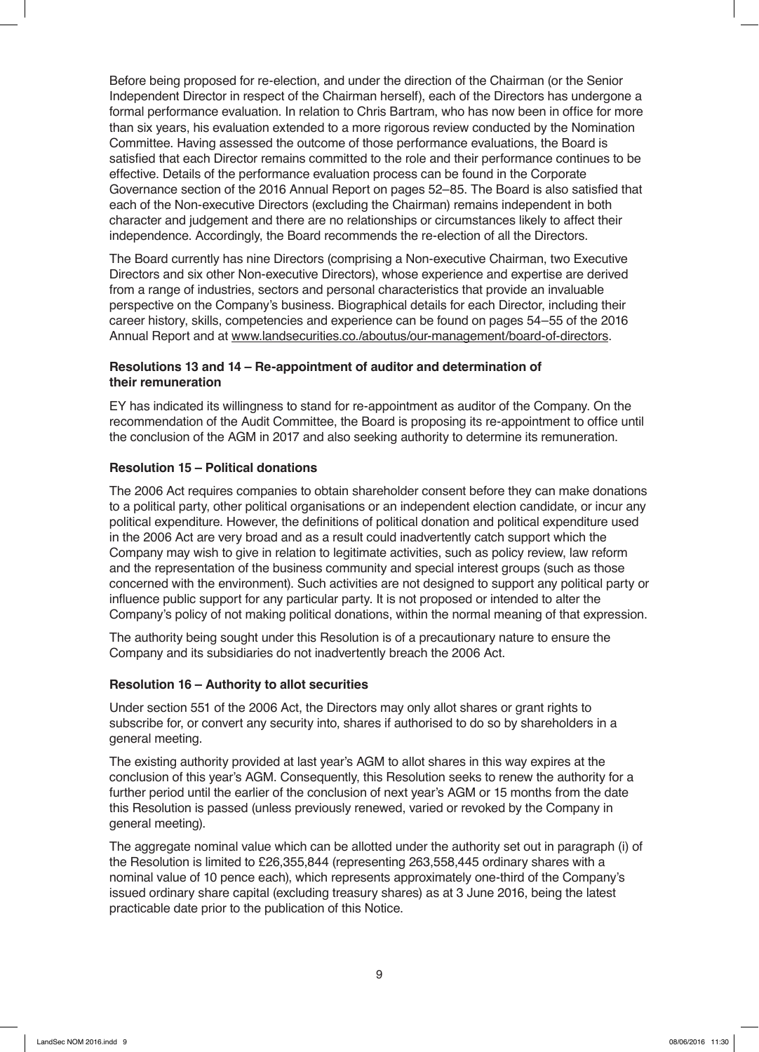Before being proposed for re-election, and under the direction of the Chairman (or the Senior Independent Director in respect of the Chairman herself), each of the Directors has undergone a formal performance evaluation. In relation to Chris Bartram, who has now been in office for more than six years, his evaluation extended to a more rigorous review conducted by the Nomination Committee. Having assessed the outcome of those performance evaluations, the Board is satisfied that each Director remains committed to the role and their performance continues to be effective. Details of the performance evaluation process can be found in the Corporate Governance section of the 2016 Annual Report on pages 52–85. The Board is also satisfied that each of the Non-executive Directors (excluding the Chairman) remains independent in both character and judgement and there are no relationships or circumstances likely to affect their independence. Accordingly, the Board recommends the re-election of all the Directors.

The Board currently has nine Directors (comprising a Non-executive Chairman, two Executive Directors and six other Non-executive Directors), whose experience and expertise are derived from a range of industries, sectors and personal characteristics that provide an invaluable perspective on the Company's business. Biographical details for each Director, including their career history, skills, competencies and experience can be found on pages 54–55 of the 2016 Annual Report and at www.landsecurities.co./aboutus/our-management/board-of-directors.

### **Resolutions 13 and 14 – Re-appointment of auditor and determination of their remuneration**

EY has indicated its willingness to stand for re-appointment as auditor of the Company. On the recommendation of the Audit Committee, the Board is proposing its re‑appointment to office until the conclusion of the AGM in 2017 and also seeking authority to determine its remuneration.

## **Resolution 15 – Political donations**

The 2006 Act requires companies to obtain shareholder consent before they can make donations to a political party, other political organisations or an independent election candidate, or incur any political expenditure. However, the definitions of political donation and political expenditure used in the 2006 Act are very broad and as a result could inadvertently catch support which the Company may wish to give in relation to legitimate activities, such as policy review, law reform and the representation of the business community and special interest groups (such as those concerned with the environment). Such activities are not designed to support any political party or influence public support for any particular party. It is not proposed or intended to alter the Company's policy of not making political donations, within the normal meaning of that expression.

The authority being sought under this Resolution is of a precautionary nature to ensure the Company and its subsidiaries do not inadvertently breach the 2006 Act.

## **Resolution 16 – Authority to allot securities**

Under section 551 of the 2006 Act, the Directors may only allot shares or grant rights to subscribe for, or convert any security into, shares if authorised to do so by shareholders in a general meeting.

The existing authority provided at last year's AGM to allot shares in this way expires at the conclusion of this year's AGM. Consequently, this Resolution seeks to renew the authority for a further period until the earlier of the conclusion of next year's AGM or 15 months from the date this Resolution is passed (unless previously renewed, varied or revoked by the Company in general meeting).

The aggregate nominal value which can be allotted under the authority set out in paragraph (i) of the Resolution is limited to £26,355,844 (representing 263,558,445 ordinary shares with a nominal value of 10 pence each), which represents approximately one-third of the Company's issued ordinary share capital (excluding treasury shares) as at 3 June 2016, being the latest practicable date prior to the publication of this Notice.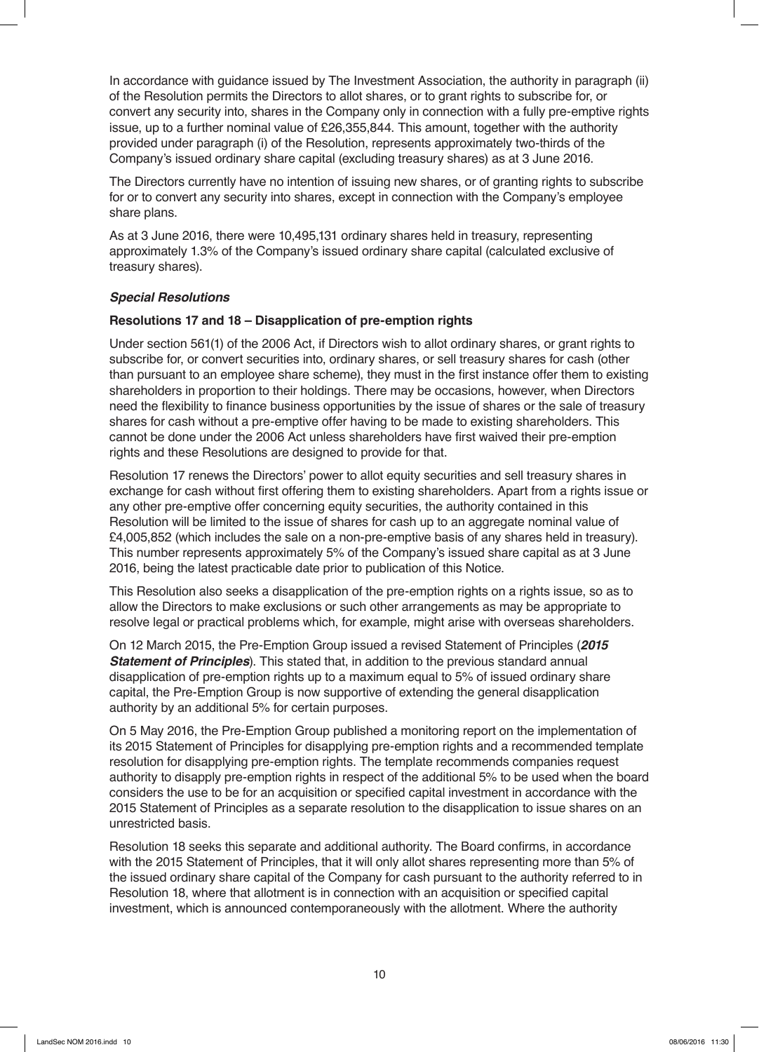In accordance with guidance issued by The Investment Association, the authority in paragraph (ii) of the Resolution permits the Directors to allot shares, or to grant rights to subscribe for, or convert any security into, shares in the Company only in connection with a fully pre-emptive rights issue, up to a further nominal value of £26,355,844. This amount, together with the authority provided under paragraph (i) of the Resolution, represents approximately two-thirds of the Company's issued ordinary share capital (excluding treasury shares) as at 3 June 2016.

The Directors currently have no intention of issuing new shares, or of granting rights to subscribe for or to convert any security into shares, except in connection with the Company's employee share plans.

As at 3 June 2016, there were 10,495,131 ordinary shares held in treasury, representing approximately 1.3% of the Company's issued ordinary share capital (calculated exclusive of treasury shares).

## *Special Resolutions*

### **Resolutions 17 and 18 – Disapplication of pre-emption rights**

Under section 561(1) of the 2006 Act, if Directors wish to allot ordinary shares, or grant rights to subscribe for, or convert securities into, ordinary shares, or sell treasury shares for cash (other than pursuant to an employee share scheme), they must in the first instance offer them to existing shareholders in proportion to their holdings. There may be occasions, however, when Directors need the flexibility to finance business opportunities by the issue of shares or the sale of treasury shares for cash without a pre-emptive offer having to be made to existing shareholders. This cannot be done under the 2006 Act unless shareholders have first waived their pre-emption rights and these Resolutions are designed to provide for that.

Resolution 17 renews the Directors' power to allot equity securities and sell treasury shares in exchange for cash without first offering them to existing shareholders. Apart from a rights issue or any other pre-emptive offer concerning equity securities, the authority contained in this Resolution will be limited to the issue of shares for cash up to an aggregate nominal value of £4,005,852 (which includes the sale on a non-pre-emptive basis of any shares held in treasury). This number represents approximately 5% of the Company's issued share capital as at 3 June 2016, being the latest practicable date prior to publication of this Notice.

This Resolution also seeks a disapplication of the pre-emption rights on a rights issue, so as to allow the Directors to make exclusions or such other arrangements as may be appropriate to resolve legal or practical problems which, for example, might arise with overseas shareholders.

On 12 March 2015, the Pre-Emption Group issued a revised Statement of Principles (*2015*  **Statement of Principles**). This stated that, in addition to the previous standard annual disapplication of pre-emption rights up to a maximum equal to 5% of issued ordinary share capital, the Pre-Emption Group is now supportive of extending the general disapplication authority by an additional 5% for certain purposes.

On 5 May 2016, the Pre-Emption Group published a monitoring report on the implementation of its 2015 Statement of Principles for disapplying pre-emption rights and a recommended template resolution for disapplying pre-emption rights. The template recommends companies request authority to disapply pre-emption rights in respect of the additional 5% to be used when the board considers the use to be for an acquisition or specified capital investment in accordance with the 2015 Statement of Principles as a separate resolution to the disapplication to issue shares on an unrestricted basis.

Resolution 18 seeks this separate and additional authority. The Board confirms, in accordance with the 2015 Statement of Principles, that it will only allot shares representing more than 5% of the issued ordinary share capital of the Company for cash pursuant to the authority referred to in Resolution 18, where that allotment is in connection with an acquisition or specified capital investment, which is announced contemporaneously with the allotment. Where the authority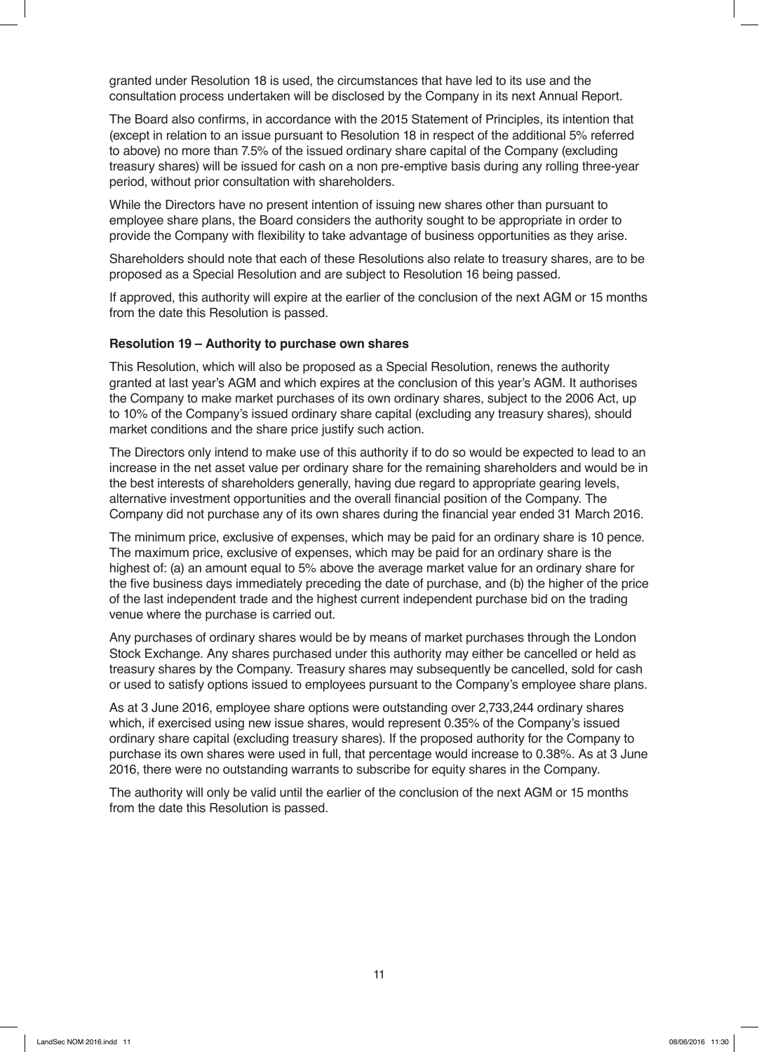granted under Resolution 18 is used, the circumstances that have led to its use and the consultation process undertaken will be disclosed by the Company in its next Annual Report.

The Board also confirms, in accordance with the 2015 Statement of Principles, its intention that (except in relation to an issue pursuant to Resolution 18 in respect of the additional 5% referred to above) no more than 7.5% of the issued ordinary share capital of the Company (excluding treasury shares) will be issued for cash on a non pre-emptive basis during any rolling three-year period, without prior consultation with shareholders.

While the Directors have no present intention of issuing new shares other than pursuant to employee share plans, the Board considers the authority sought to be appropriate in order to provide the Company with flexibility to take advantage of business opportunities as they arise.

Shareholders should note that each of these Resolutions also relate to treasury shares, are to be proposed as a Special Resolution and are subject to Resolution 16 being passed.

If approved, this authority will expire at the earlier of the conclusion of the next AGM or 15 months from the date this Resolution is passed.

#### **Resolution 19 – Authority to purchase own shares**

This Resolution, which will also be proposed as a Special Resolution, renews the authority granted at last year's AGM and which expires at the conclusion of this year's AGM. It authorises the Company to make market purchases of its own ordinary shares, subject to the 2006 Act, up to 10% of the Company's issued ordinary share capital (excluding any treasury shares), should market conditions and the share price justify such action.

The Directors only intend to make use of this authority if to do so would be expected to lead to an increase in the net asset value per ordinary share for the remaining shareholders and would be in the best interests of shareholders generally, having due regard to appropriate gearing levels, alternative investment opportunities and the overall financial position of the Company. The Company did not purchase any of its own shares during the financial year ended 31 March 2016.

The minimum price, exclusive of expenses, which may be paid for an ordinary share is 10 pence. The maximum price, exclusive of expenses, which may be paid for an ordinary share is the highest of: (a) an amount equal to 5% above the average market value for an ordinary share for the five business days immediately preceding the date of purchase, and (b) the higher of the price of the last independent trade and the highest current independent purchase bid on the trading venue where the purchase is carried out.

Any purchases of ordinary shares would be by means of market purchases through the London Stock Exchange. Any shares purchased under this authority may either be cancelled or held as treasury shares by the Company. Treasury shares may subsequently be cancelled, sold for cash or used to satisfy options issued to employees pursuant to the Company's employee share plans.

As at 3 June 2016, employee share options were outstanding over 2,733,244 ordinary shares which, if exercised using new issue shares, would represent 0.35% of the Company's issued ordinary share capital (excluding treasury shares). If the proposed authority for the Company to purchase its own shares were used in full, that percentage would increase to 0.38%. As at 3 June 2016, there were no outstanding warrants to subscribe for equity shares in the Company.

The authority will only be valid until the earlier of the conclusion of the next AGM or 15 months from the date this Resolution is passed.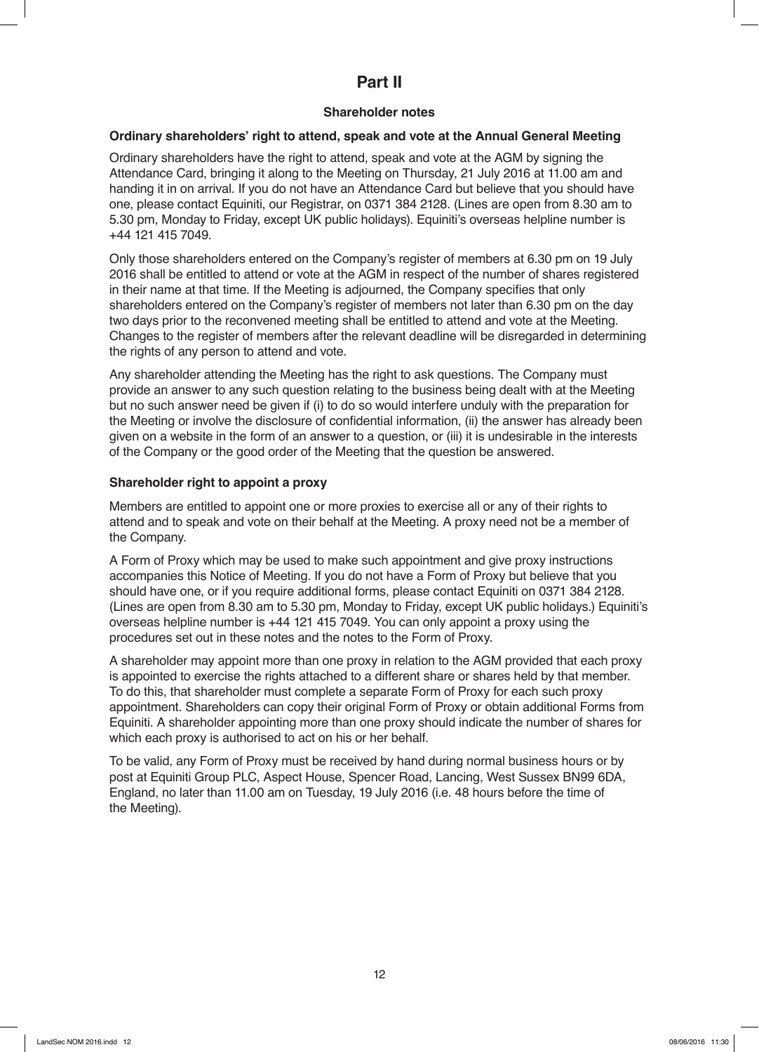# **Part II**

## **Shareholder notes**

## **Ordinary shareholders' right to attend, speak and vote at the Annual General Meeting**

Ordinary shareholders have the right to attend, speak and vote at the AGM by signing the Attendance Card, bringing it along to the Meeting on Thursday, 21 July 2016 at 11.00 am and handing it in on arrival. If you do not have an Attendance Card but believe that you should have one, please contact Equiniti, our Registrar, on 0371 384 2128. (Lines are open from 8.30 am to 5.30 pm, Monday to Friday, except UK public holidays). Equiniti's overseas helpline number is +44 121 415 7049.

Only those shareholders entered on the Company's register of members at 6.30 pm on 19 July 2016 shall be entitled to attend or vote at the AGM in respect of the number of shares registered in their name at that time. If the Meeting is adjourned, the Company specifies that only shareholders entered on the Company's register of members not later than 6.30 pm on the day two days prior to the reconvened meeting shall be entitled to attend and vote at the Meeting. Changes to the register of members after the relevant deadline will be disregarded in determining the rights of any person to attend and vote.

Any shareholder attending the Meeting has the right to ask questions. The Company must provide an answer to any such question relating to the business being dealt with at the Meeting but no such answer need be given if (i) to do so would interfere unduly with the preparation for the Meeting or involve the disclosure of confidential information, (ii) the answer has already been given on a website in the form of an answer to a question, or (iii) it is undesirable in the interests of the Company or the good order of the Meeting that the question be answered.

## **Shareholder right to appoint a proxy**

Members are entitled to appoint one or more proxies to exercise all or any of their rights to attend and to speak and vote on their behalf at the Meeting. A proxy need not be a member of the Company.

A Form of Proxy which may be used to make such appointment and give proxy instructions accompanies this Notice of Meeting. If you do not have a Form of Proxy but believe that you should have one, or if you require additional forms, please contact Equiniti on 0371 384 2128. (Lines are open from 8.30 am to 5.30 pm, Monday to Friday, except UK public holidays.) Equiniti's overseas helpline number is +44 121 415 7049. You can only appoint a proxy using the procedures set out in these notes and the notes to the Form of Proxy.

A shareholder may appoint more than one proxy in relation to the AGM provided that each proxy is appointed to exercise the rights attached to a different share or shares held by that member. To do this, that shareholder must complete a separate Form of Proxy for each such proxy appointment. Shareholders can copy their original Form of Proxy or obtain additional Forms from Equiniti. A shareholder appointing more than one proxy should indicate the number of shares for which each proxy is authorised to act on his or her behalf.

To be valid, any Form of Proxy must be received by hand during normal business hours or by post at Equiniti Group PLC, Aspect House, Spencer Road, Lancing, West Sussex BN99 6DA, England, no later than 11.00 am on Tuesday, 19 July 2016 (i.e. 48 hours before the time of the Meeting).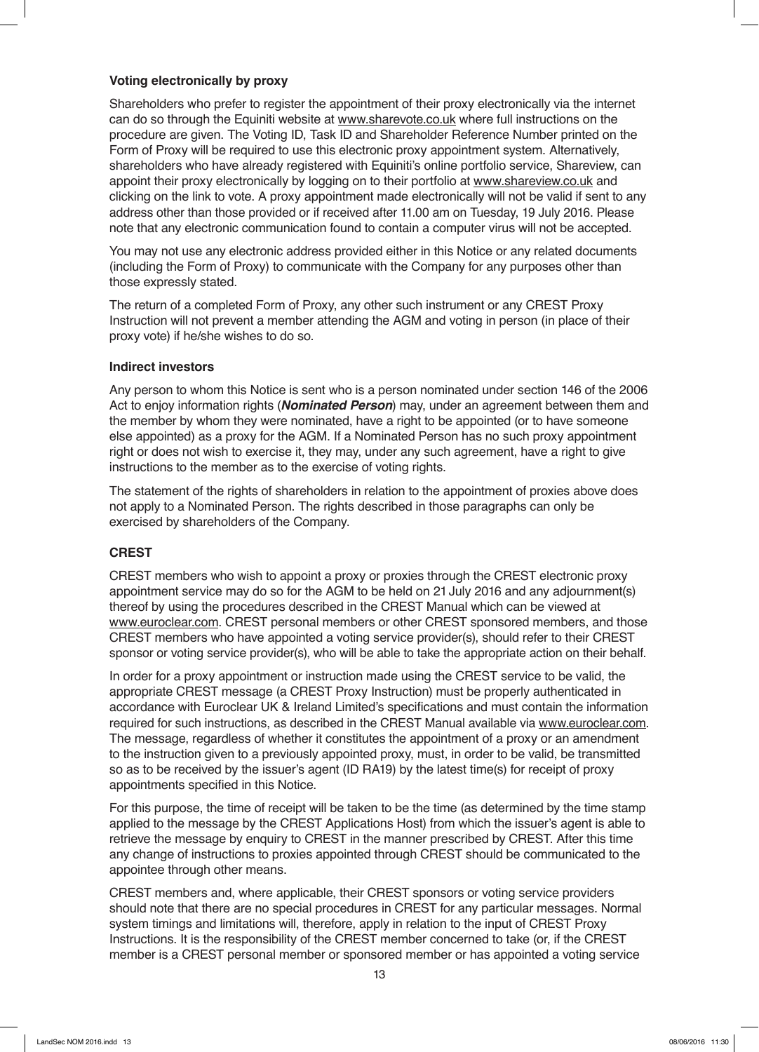## **Voting electronically by proxy**

Shareholders who prefer to register the appointment of their proxy electronically via the internet can do so through the Equiniti website at www.sharevote.co.uk where full instructions on the procedure are given. The Voting ID, Task ID and Shareholder Reference Number printed on the Form of Proxy will be required to use this electronic proxy appointment system. Alternatively, shareholders who have already registered with Equiniti's online portfolio service, Shareview, can appoint their proxy electronically by logging on to their portfolio at www.shareview.co.uk and clicking on the link to vote. A proxy appointment made electronically will not be valid if sent to any address other than those provided or if received after 11.00 am on Tuesday, 19 July 2016. Please note that any electronic communication found to contain a computer virus will not be accepted.

You may not use any electronic address provided either in this Notice or any related documents (including the Form of Proxy) to communicate with the Company for any purposes other than those expressly stated.

The return of a completed Form of Proxy, any other such instrument or any CREST Proxy Instruction will not prevent a member attending the AGM and voting in person (in place of their proxy vote) if he/she wishes to do so.

### **Indirect investors**

Any person to whom this Notice is sent who is a person nominated under section 146 of the 2006 Act to enjoy information rights (*Nominated Person*) may, under an agreement between them and the member by whom they were nominated, have a right to be appointed (or to have someone else appointed) as a proxy for the AGM. If a Nominated Person has no such proxy appointment right or does not wish to exercise it, they may, under any such agreement, have a right to give instructions to the member as to the exercise of voting rights.

The statement of the rights of shareholders in relation to the appointment of proxies above does not apply to a Nominated Person. The rights described in those paragraphs can only be exercised by shareholders of the Company.

### **CREST**

CREST members who wish to appoint a proxy or proxies through the CREST electronic proxy appointment service may do so for the AGM to be held on 21 July 2016 and any adjournment(s) thereof by using the procedures described in the CREST Manual which can be viewed at www.euroclear.com. CREST personal members or other CREST sponsored members, and those CREST members who have appointed a voting service provider(s), should refer to their CREST sponsor or voting service provider(s), who will be able to take the appropriate action on their behalf.

In order for a proxy appointment or instruction made using the CREST service to be valid, the appropriate CREST message (a CREST Proxy Instruction) must be properly authenticated in accordance with Euroclear UK & Ireland Limited's specifications and must contain the information required for such instructions, as described in the CREST Manual available via www.euroclear.com. The message, regardless of whether it constitutes the appointment of a proxy or an amendment to the instruction given to a previously appointed proxy, must, in order to be valid, be transmitted so as to be received by the issuer's agent (ID RA19) by the latest time(s) for receipt of proxy appointments specified in this Notice.

For this purpose, the time of receipt will be taken to be the time (as determined by the time stamp applied to the message by the CREST Applications Host) from which the issuer's agent is able to retrieve the message by enquiry to CREST in the manner prescribed by CREST. After this time any change of instructions to proxies appointed through CREST should be communicated to the appointee through other means.

CREST members and, where applicable, their CREST sponsors or voting service providers should note that there are no special procedures in CREST for any particular messages. Normal system timings and limitations will, therefore, apply in relation to the input of CREST Proxy Instructions. It is the responsibility of the CREST member concerned to take (or, if the CREST member is a CREST personal member or sponsored member or has appointed a voting service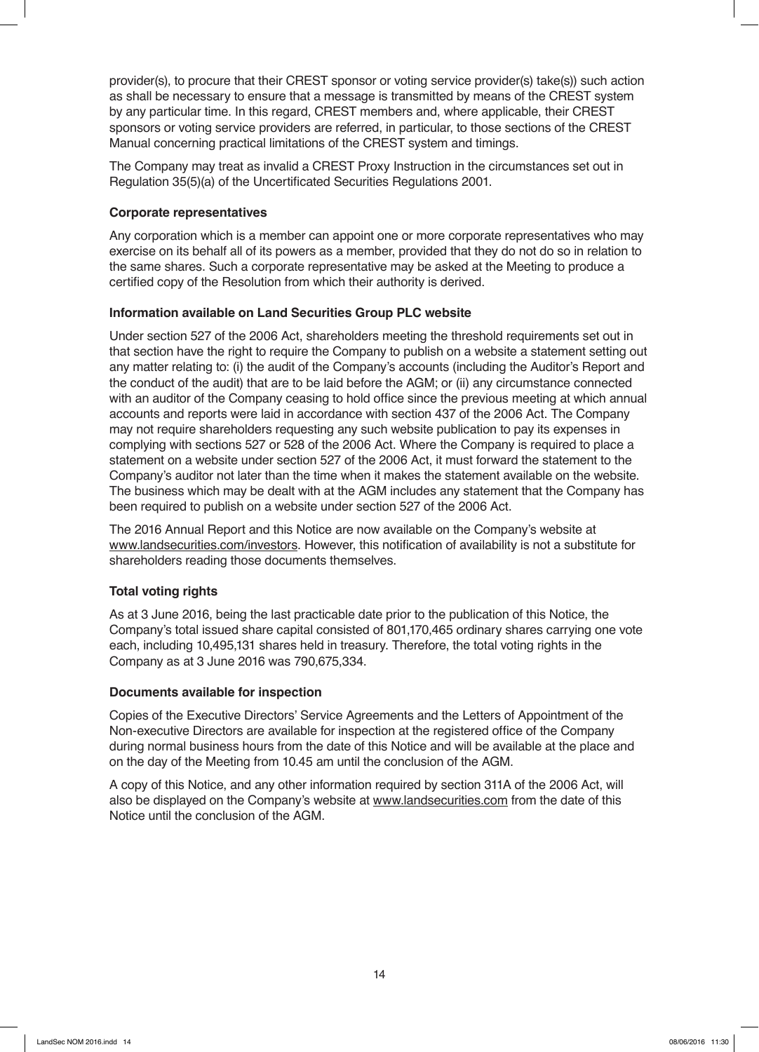provider(s), to procure that their CREST sponsor or voting service provider(s) take(s)) such action as shall be necessary to ensure that a message is transmitted by means of the CREST system by any particular time. In this regard, CREST members and, where applicable, their CREST sponsors or voting service providers are referred, in particular, to those sections of the CREST Manual concerning practical limitations of the CREST system and timings.

The Company may treat as invalid a CREST Proxy Instruction in the circumstances set out in Regulation 35(5)(a) of the Uncertificated Securities Regulations 2001.

#### **Corporate representatives**

Any corporation which is a member can appoint one or more corporate representatives who may exercise on its behalf all of its powers as a member, provided that they do not do so in relation to the same shares. Such a corporate representative may be asked at the Meeting to produce a certified copy of the Resolution from which their authority is derived.

#### **Information available on Land Securities Group PLC website**

Under section 527 of the 2006 Act, shareholders meeting the threshold requirements set out in that section have the right to require the Company to publish on a website a statement setting out any matter relating to: (i) the audit of the Company's accounts (including the Auditor's Report and the conduct of the audit) that are to be laid before the AGM; or (ii) any circumstance connected with an auditor of the Company ceasing to hold office since the previous meeting at which annual accounts and reports were laid in accordance with section 437 of the 2006 Act. The Company may not require shareholders requesting any such website publication to pay its expenses in complying with sections 527 or 528 of the 2006 Act. Where the Company is required to place a statement on a website under section 527 of the 2006 Act, it must forward the statement to the Company's auditor not later than the time when it makes the statement available on the website. The business which may be dealt with at the AGM includes any statement that the Company has been required to publish on a website under section 527 of the 2006 Act.

The 2016 Annual Report and this Notice are now available on the Company's website at www.landsecurities.com/investors. However, this notification of availability is not a substitute for shareholders reading those documents themselves.

### **Total voting rights**

As at 3 June 2016, being the last practicable date prior to the publication of this Notice, the Company's total issued share capital consisted of 801,170,465 ordinary shares carrying one vote each, including 10,495,131 shares held in treasury. Therefore, the total voting rights in the Company as at 3 June 2016 was 790,675,334.

#### **Documents available for inspection**

Copies of the Executive Directors' Service Agreements and the Letters of Appointment of the Non-executive Directors are available for inspection at the registered office of the Company during normal business hours from the date of this Notice and will be available at the place and on the day of the Meeting from 10.45 am until the conclusion of the AGM.

A copy of this Notice, and any other information required by section 311A of the 2006 Act, will also be displayed on the Company's website at www.landsecurities.com from the date of this Notice until the conclusion of the AGM.